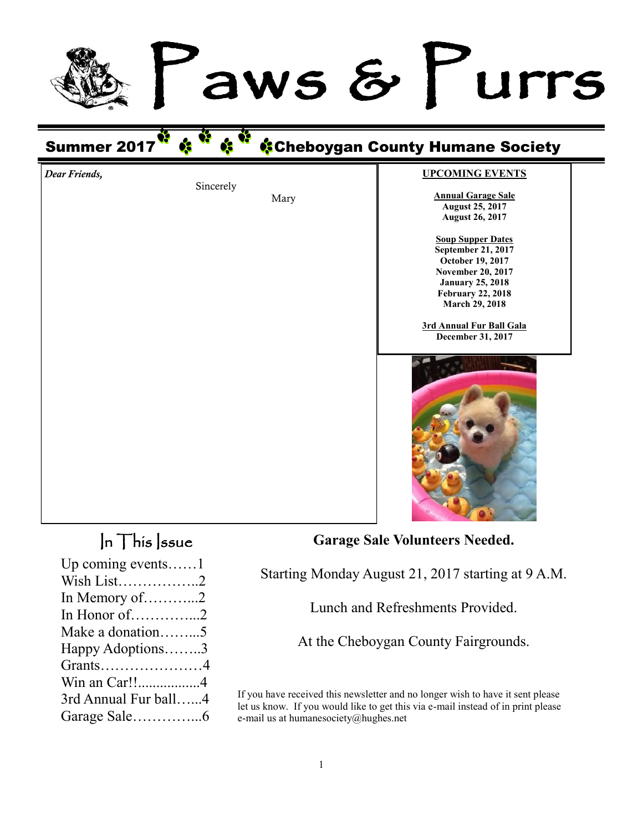# aws & Furrs

# Summer 2017 Cheboygan County Humane Society

Mary

Sincerely

**UPCOMING EVENTS**

**Annual Garage Sale August 25, 2017 August 26, 2017**

**Soup Supper Dates September 21, 2017 October 19, 2017 November 20, 2017 January 25, 2018 February 22, 2018 March 29, 2018**

**3rd Annual Fur Ball Gala December 31, 2017**



## $\ln$  This *ssue*

*Dear Friends,*

| Up coming events $1$ |  |
|----------------------|--|
| Wish List2           |  |
| In Memory of 2       |  |
| In Honor of2         |  |
| Make a donation5     |  |
| Happy Adoptions3     |  |
| Grants4              |  |
| Win an Car!!4        |  |
| 3rd Annual Fur ball4 |  |
|                      |  |

**Garage Sale Volunteers Needed.**

Starting Monday August 21, 2017 starting at 9 A.M.

Lunch and Refreshments Provided.

At the Cheboygan County Fairgrounds.

If you have received this newsletter and no longer wish to have it sent please let us know. If you would like to get this via e-mail instead of in print please e-mail us at humanesociety@hughes.net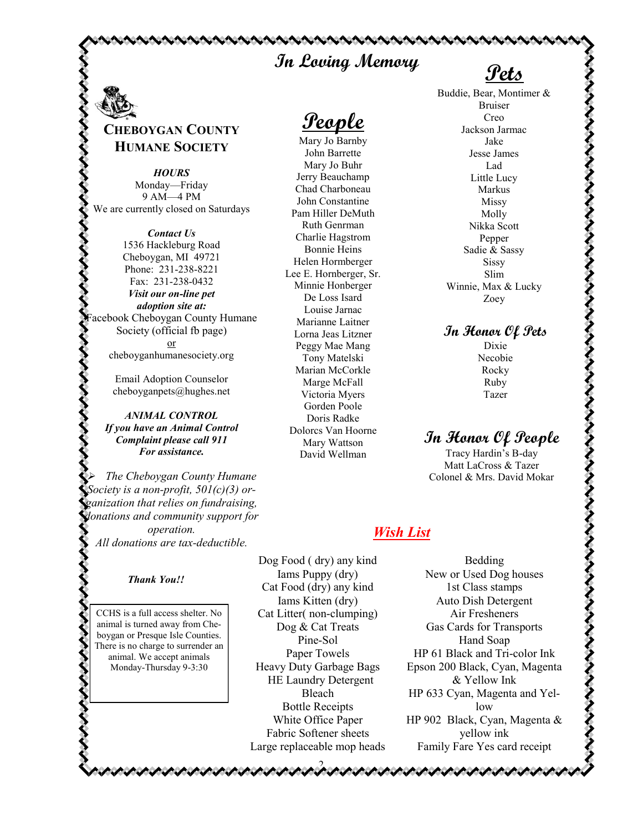# **In Loving Memory Pets**

. NINNININININI

## **CHEBOYGAN COUNTY HUMANE SOCIETY**

*HOURS* Monday—Friday 9 AM—4 PM We are currently closed on Saturdays

*Contact Us* 1536 Hackleburg Road Cheboygan, MI 49721 Phone: 231-238-8221 Fax: 231-238-0432 *Visit our on-line pet adoption site at:* acebook Cheboygan County Humane Society (official fb page) or cheboyganhumanesociety.org

> Email Adoption Counselor cheboyganpets@hughes.net

*ANIMAL CONTROL If you have an Animal Control Complaint please call 911 For assistance.* 

*The Cheboygan County Humane Society is a non-profit, 501(c)(3) organization that relies on fundraising, donations and community support for operation. All donations are tax-deductible.*

#### *Thank You!!*

CCHS is a full access shelter. No animal is turned away from Cheboygan or Presque Isle Counties. There is no charge to surrender an animal. We accept animals Monday-Thursday 9-3:30

**People**

Mary Jo Barnby John Barrette Mary Jo Buhr Jerry Beauchamp Chad Charboneau John Constantine Pam Hiller DeMuth Ruth Genrman Charlie Hagstrom Bonnie Heins Helen Hormberger Lee E. Hornberger, Sr. Minnie Honberger De Loss Isard Louise Jarnac Marianne Laitner Lorna Jeas Litzner Peggy Mae Mang Tony Matelski Marian McCorkle Marge McFall Victoria Myers Gorden Poole Doris Radke Dolorcs Van Hoorne Mary Wattson David Wellman

Buddie, Bear, Montimer & Bruiser Creo Jackson Jarmac Jake Jesse James Lad Little Lucy Markus Missy Molly Nikka Scott Pepper Sadie & Sassy Sissy Slim Winnie, Max & Lucky Zoey

**In Honor Of Pets**

Dixie Necobie Rocky Ruby Tazer

#### **In Honor Of People**

Tracy Hardin's B-day Matt LaCross & Tazer Colonel & Mrs. David Mokar

#### *Wish List*

Dog Food ( dry) any kind Iams Puppy (dry) Cat Food (dry) any kind Iams Kitten (dry) Cat Litter( non-clumping) Dog & Cat Treats Pine-Sol Paper Towels Heavy Duty Garbage Bags HE Laundry Detergent Bleach Bottle Receipts White Office Paper Fabric Softener sheets Large replaceable mop heads

2

Bedding New or Used Dog houses 1st Class stamps Auto Dish Detergent Air Fresheners Gas Cards for Transports Hand Soap HP 61 Black and Tri-color Ink Epson 200 Black, Cyan, Magenta & Yellow Ink HP 633 Cyan, Magenta and Yellow HP 902 Black, Cyan, Magenta & yellow ink Family Fare Yes card receipt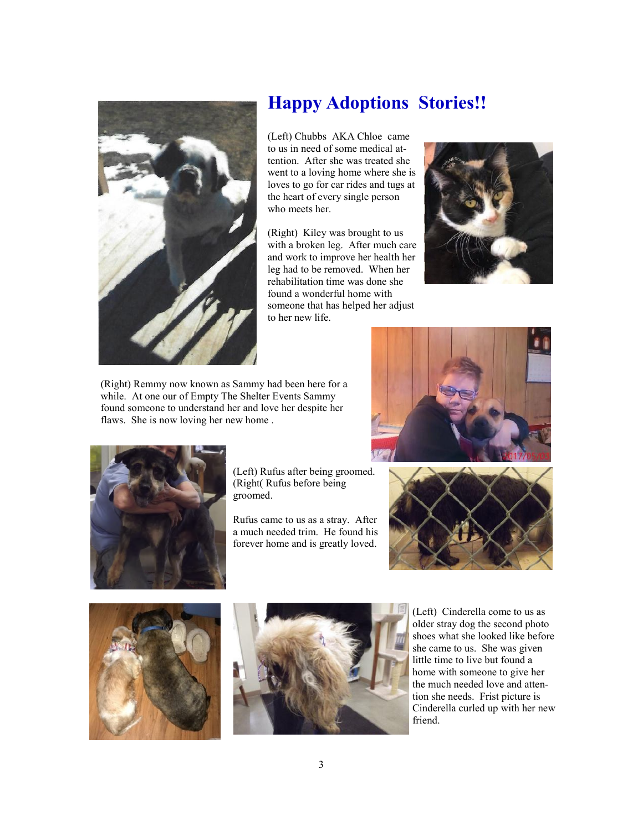

# **Happy Adoptions Stories!!**

(Left) Chubbs AKA Chloe came to us in need of some medical attention. After she was treated she went to a loving home where she is loves to go for car rides and tugs at the heart of every single person who meets her.

(Right) Kiley was brought to us with a broken leg. After much care and work to improve her health her leg had to be removed. When her rehabilitation time was done she found a wonderful home with someone that has helped her adjust to her new life.



(Right) Remmy now known as Sammy had been here for a while. At one our of Empty The Shelter Events Sammy found someone to understand her and love her despite her flaws. She is now loving her new home .





(Left) Rufus after being groomed. (Right( Rufus before being groomed.

Rufus came to us as a stray. After a much needed trim. He found his forever home and is greatly loved.







(Left) Cinderella come to us as older stray dog the second photo shoes what she looked like before she came to us. She was given little time to live but found a home with someone to give her the much needed love and attention she needs. Frist picture is Cinderella curled up with her new friend.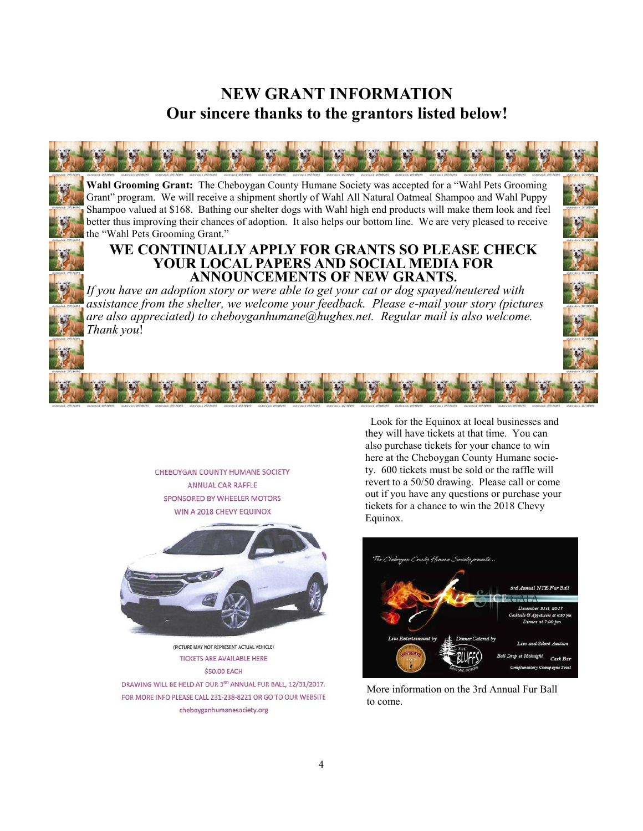### **NEW GRANT INFORMATION Our sincere thanks to the grantors listed below!**

**Wahl Grooming Grant:** The Cheboygan County Humane Society was accepted for a "Wahl Pets Grooming Grant" program. We will receive a shipment shortly of Wahl All Natural Oatmeal Shampoo and Wahl Puppy Shampoo valued at \$168. Bathing our shelter dogs with Wahl high end products will make them look and feel better thus improving their chances of adoption. It also helps our bottom line. We are very pleased to receive the "Wahl Pets Grooming Grant."

#### **WE CONTINUALLY APPLY FOR GRANTS SO PLEASE CHECK YOUR LOCAL PAPERS AND SOCIAL MEDIA FOR ANNOUNCEMENTS OF NEW GRANTS.**

*If you have an adoption story or were able to get your cat or dog spayed/neutered with assistance from the shelter, we welcome your feedback. Please e-mail your story (pictures are also appreciated) to cheboyganhumane@hughes.net. Regular mail is also welcome. Thank you*!

> CHEBOYGAN COUNTY HUMANE SOCIETY ANNUAL CAR RAFFLE SPONSORED BY WHEELER MOTORS WIN A 2018 CHEVY EQUINOX



(PICTURE MAY NOT REPRESENT ACTUAL VEHICLE) **TICKETS ARE AVAILABLE HERE** \$50.00 EACH

DRAWING WILL BE HELD AT OUR 3RD ANNUAL FUR BALL, 12/31/2017. FOR MORE INFO PLEASE CALL 231-238-8221 OR GO TO OUR WEBSITE cheboyganhumanesociety.org

 Look for the Equinox at local businesses and they will have tickets at that time. You can also purchase tickets for your chance to win here at the Cheboygan County Humane society. 600 tickets must be sold or the raffle will revert to a 50/50 drawing. Please call or come out if you have any questions or purchase your tickets for a chance to win the 2018 Chevy Equinox.



More information on the 3rd Annual Fur Ball to come.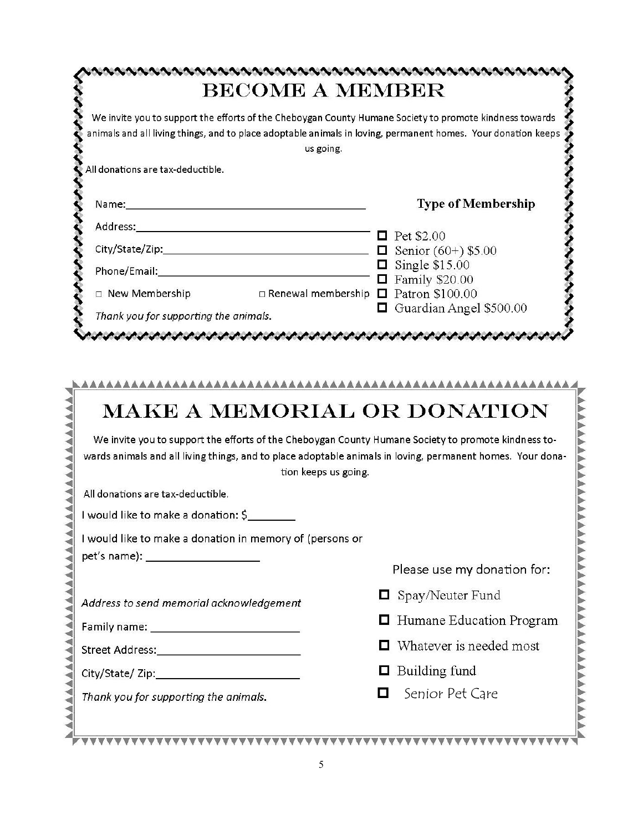|                                                                                                                                                                                                                      | us going.                                                |   | We invite you to support the efforts of the Cheboygan County Humane Society to promote kindness towards<br>animals and all living things, and to place adoptable animals in loving, permanent homes. Your donation keeps |
|----------------------------------------------------------------------------------------------------------------------------------------------------------------------------------------------------------------------|----------------------------------------------------------|---|--------------------------------------------------------------------------------------------------------------------------------------------------------------------------------------------------------------------------|
| All donations are tax-deductible.                                                                                                                                                                                    |                                                          |   |                                                                                                                                                                                                                          |
|                                                                                                                                                                                                                      |                                                          |   | <b>Type of Membership</b>                                                                                                                                                                                                |
|                                                                                                                                                                                                                      |                                                          |   |                                                                                                                                                                                                                          |
|                                                                                                                                                                                                                      |                                                          |   | $\Box$ Pet \$2.00                                                                                                                                                                                                        |
|                                                                                                                                                                                                                      |                                                          |   | <b><math>\Box</math></b> Senior (60+) \$5.00<br>$\Box$ Single \$15.00                                                                                                                                                    |
|                                                                                                                                                                                                                      |                                                          |   | $\Box$ Family \$20.00                                                                                                                                                                                                    |
| $\Box$ New Membership                                                                                                                                                                                                | $\Box$ Renewal membership $\Box$ Patron \$100.00         |   |                                                                                                                                                                                                                          |
| Thank you for supporting the animals.                                                                                                                                                                                |                                                          |   | Guardian Angel \$500.00                                                                                                                                                                                                  |
|                                                                                                                                                                                                                      |                                                          |   | かんけいさいさい けいけいけいけい きんきょう いちょうきょう きょうきょう しょうきょうきょうきょう                                                                                                                                                                      |
|                                                                                                                                                                                                                      |                                                          |   | <b>MAKE A MEMORIAL OR DONATION</b>                                                                                                                                                                                       |
|                                                                                                                                                                                                                      |                                                          |   | We invite you to support the efforts of the Cheboygan County Humane Society to promote kindness to-<br>wards animals and all living things, and to place adoptable animals in loving, permanent homes. Your dona-        |
|                                                                                                                                                                                                                      | tion keeps us going.                                     |   |                                                                                                                                                                                                                          |
| All donations are tax-deductible.                                                                                                                                                                                    |                                                          |   |                                                                                                                                                                                                                          |
|                                                                                                                                                                                                                      |                                                          |   |                                                                                                                                                                                                                          |
|                                                                                                                                                                                                                      | I would like to make a donation in memory of (persons or |   |                                                                                                                                                                                                                          |
|                                                                                                                                                                                                                      |                                                          |   | Please use my donation for:                                                                                                                                                                                              |
|                                                                                                                                                                                                                      |                                                          |   |                                                                                                                                                                                                                          |
|                                                                                                                                                                                                                      |                                                          | 0 | Spay/Neuter Fund                                                                                                                                                                                                         |
|                                                                                                                                                                                                                      |                                                          |   | Humane Education Program                                                                                                                                                                                                 |
|                                                                                                                                                                                                                      |                                                          |   | Whatever is needed most                                                                                                                                                                                                  |
| I would like to make a donation: \$<br>pet's name): ______________________<br>Address to send memorial acknowledgement<br>Family name: _____________________________<br>Street Address:_____________________________ |                                                          | O | Building fund                                                                                                                                                                                                            |